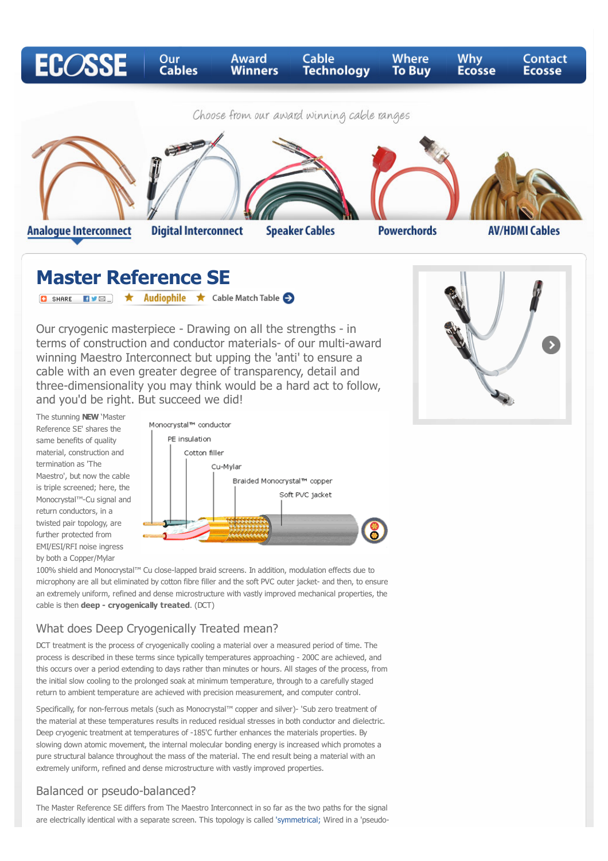

**Speaker Cables** 

**Analogue Interconnect** 

**Digital Interconnect** 

**Powerchords** 

**AV/HDMI Cables** 

# **Master Reference SE**

**O** SHARE EVER <del>★</del> Audiophile ★ Cable Match Table ●

Our cryogenic masterpiece - Drawing on all the strengths - in terms of construction and conductor materials- of our multi-award winning Maestro Interconnect but upping the 'anti' to ensure a cable with an even greater degree of transparency, detail and three-dimensionality you may think would be a hard act to follow, and you'd be right. But succeed we did!



The stunning **NEW** 'Master Reference SE' shares the same benefits of quality material, construction and termination as 'The Maestro', but now the cable is triple screened; here, the Monocrystal™-Cu signal and return conductors, in a twisted pair topology, are further protected from EMI/ESI/RFI noise ingress by both a Copper/Mylar



100% shield and Monocrystal™ Cu close-lapped braid screens. In addition, modulation effects due to microphony are all but eliminated by cotton fibre filler and the soft PVC outer jacket- and then, to ensure an extremely uniform, refined and dense microstructure with vastly improved mechanical properties, the cable is then **deep - cryogenically treated**. (DCT)

### What does Deep Cryogenically Treated mean?

DCT treatment is the process of cryogenically cooling a material over a measured period of time. The process is described in these terms since typically temperatures approaching - 200C are achieved, and this occurs over a period extending to days rather than minutes or hours. All stages of the process, from the initial slow cooling to the prolonged soak at minimum temperature, through to a carefully staged return to ambient temperature are achieved with precision measurement, and computer control.

Specifically, for non-ferrous metals (such as Monocrystal™ copper and silver)- 'Sub zero treatment of the material at these temperatures results in reduced residual stresses in both conductor and dielectric. Deep cryogenic treatment at temperatures of -185'C further enhances the materials properties. By slowing down atomic movement, the internal molecular bonding energy is increased which promotes a pure structural balance throughout the mass of the material. The end result being a material with an extremely uniform, refined and dense microstructure with vastly improved properties.

## Balanced or pseudo-balanced?

The Master Reference SE differs from The Maestro Interconnect in so far as the two paths for the signal are electrically identical with a separate screen. This topology is calle[d 'symmetrical;](http://www.paulnimmo.co.uk/ecosse/cable-technology.html#mark7) Wired in a 'pseudo-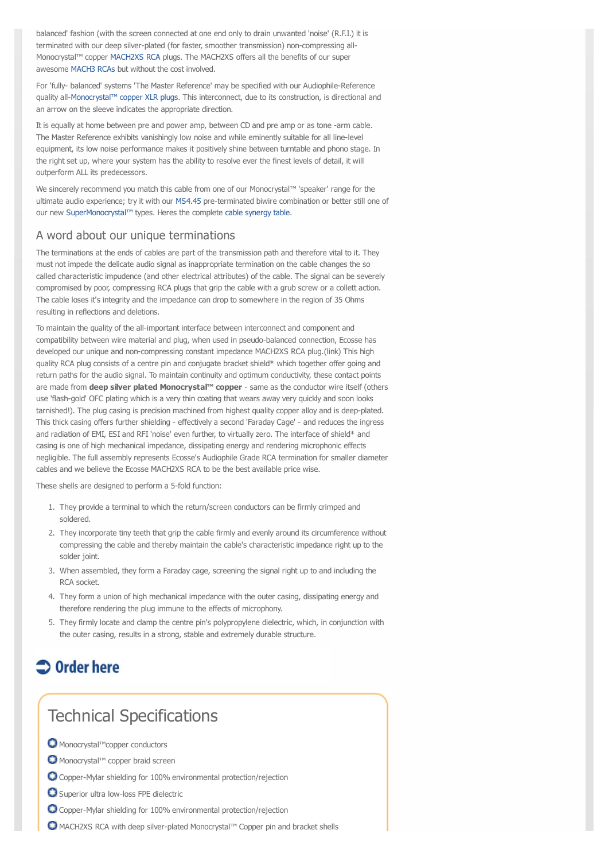balanced' fashion (with the screen connected at one end only to drain unwanted 'noise' (R.F.I.) it is terminated with our deep silver-plated (for faster, smoother transmission) non-compressing all-Monocrystal™ copper [MACH2XS RCA](http://www.paulnimmo.co.uk/ecosse/cable-technology.html#mach2) plugs. The MACH2XS offers all the benefits of our super awesome [MACH3 RCAs](http://www.paulnimmo.co.uk/ecosse/cable-technology.html#interconnect) but without the cost involved.

For 'fully- balanced' systems 'The Master Reference' may be specified with our Audiophile-Reference quality all[-Monocrystal™ copper XLR plugs](http://www.paulnimmo.co.uk/ecosse/cable-technology.html#mach3). This interconnect, due to its construction, is directional and an arrow on the sleeve indicates the appropriate direction.

It is equally at home between pre and power amp, between CD and pre amp or as tone -arm cable. The Master Reference exhibits vanishingly low noise and while eminently suitable for all line-level equipment, its low noise performance makes it positively shine between turntable and phono stage. In the right set up, where your system has the ability to resolve ever the finest levels of detail, it will outperform ALL its predecessors.

We sincerely recommend you match this cable from one of our Monocrystal™ 'speaker' range for the ultimate audio experience; try it with our [MS4.45](http://www.paulnimmo.co.uk/ecosse/ecosse_speakercable_ms4.45.html) pre-terminated biwire combination or better still one of our new [SuperMonocrystal™](http://www.paulnimmo.co.uk/ecosse/cable-technology.html#supermono) types. Heres the complete [cable synergy table](http://www.paulnimmo.co.uk/ecosse/cable_synergy_table.html).

#### A word about our unique terminations

The terminations at the ends of cables are part of the transmission path and therefore vital to it. They must not impede the delicate audio signal as inappropriate termination on the cable changes the so called characteristic impudence (and other electrical attributes) of the cable. The signal can be severely compromised by poor, compressing RCA plugs that grip the cable with a grub screw or a collett action. The cable loses it's integrity and the impedance can drop to somewhere in the region of 35 Ohms resulting in reflections and deletions.

To maintain the quality of the all-important interface between interconnect and component and compatibility between wire material and plug, when used in pseudo-balanced connection, Ecosse has developed our unique and non-compressing constant impedance MACH2XS RCA plug.(link) This high quality RCA plug consists of a centre pin and conjugate bracket shield\* which together offer going and return paths for the audio signal. To maintain continuity and optimum conductivity, these contact points are made from **deep silver plated Monocrystal™ copper** - same as the conductor wire itself (others use 'flash-gold' OFC plating which is a very thin coating that wears away very quickly and soon looks tarnished!). The plug casing is precision machined from highest quality copper alloy and is deep-plated. This thick casing offers further shielding - effectively a second 'Faraday Cage' - and reduces the ingress and radiation of EMI, ESI and RFI 'noise' even further, to virtually zero. The interface of shield\* and casing is one of high mechanical impedance, dissipating energy and rendering microphonic effects negligible. The full assembly represents Ecosse's Audiophile Grade RCA termination for smaller diameter cables and we believe the Ecosse MACH2XS RCA to be the best available price wise.

These shells are designed to perform a 5-fold function:

- 1. They provide a terminal to which the return/screen conductors can be firmly crimped and soldered.
- 2. They incorporate tiny teeth that grip the cable firmly and evenly around its circumference without compressing the cable and thereby maintain the cable's characteristic impedance right up to the solder joint.
- 3. When assembled, they form a Faraday cage, screening the signal right up to and including the RCA socket.
- 4. They form a union of high mechanical impedance with the outer casing, dissipating energy and therefore rendering the plug immune to the effects of microphony.
- 5. They firmly locate and clamp the centre pin's polypropylene dielectric, which, in conjunction with the outer casing, results in a strong, stable and extremely durable structure.

## $\supset$  Order here

## Technical Specifications

- © Monocrystal™copper conductors
- O Monocrystal™ copper braid screen
- Copper-Mylar shielding for 100% environmental protection/rejection
- O Superior ultra low-loss FPE dielectric
- Copper-Mylar shielding for 100% environmental protection/rejection
- MACH2XS RCA with deep silver-plated Monocrystal™ Copper pin and bracket shells